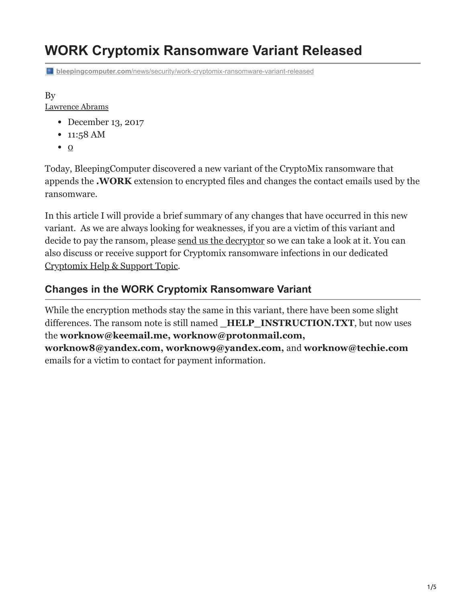# **WORK Cryptomix Ransomware Variant Released**

**bleepingcomputer.com[/news/security/work-cryptomix-ransomware-variant-released](https://www.bleepingcomputer.com/news/security/work-cryptomix-ransomware-variant-released/)** 

#### By

#### [Lawrence Abrams](https://www.bleepingcomputer.com/author/lawrence-abrams/)

- December 13, 2017
- 11:58 AM
- $\bullet$  0

Today, BleepingComputer discovered a new variant of the CryptoMix ransomware that appends the **.WORK** extension to encrypted files and changes the contact emails used by the ransomware.

In this article I will provide a brief summary of any changes that have occurred in this new variant. As we are always looking for weaknesses, if you are a victim of this variant and decide to pay the ransom, please [send us the decryptor](https://www.bleepingcomputer.com/submit-malware.php?channel=168) so we can take a look at it. You can also discuss or receive support for Cryptomix ransomware infections in our dedicated [Cryptomix Help & Support Topic.](https://www.bleepingcomputer.com/forums/t/611907/cryptomix-or-crypmix-ransomware-help-topic-revenge-cryptoshield-extensions/)

### **Changes in the WORK Cryptomix Ransomware Variant**

While the encryption methods stay the same in this variant, there have been some slight differences. The ransom note is still named **HELP INSTRUCTION.TXT**, but now uses the **worknow@keemail.me, worknow@protonmail.com, worknow8@yandex.com, worknow9@yandex.com,** and **worknow@techie.com** emails for a victim to contact for payment information.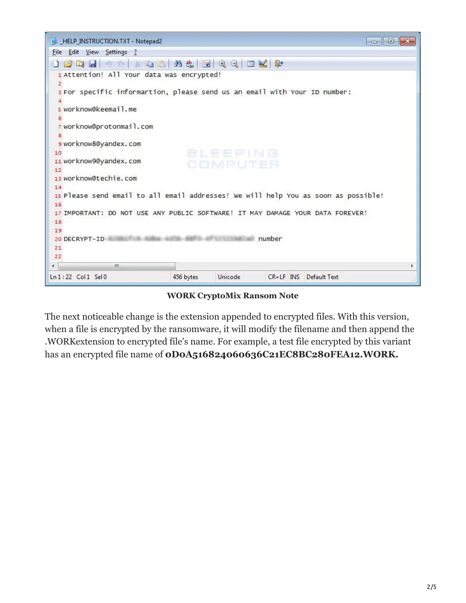

**WORK CryptoMix Ransom Note**

The next noticeable change is the extension appended to encrypted files. With this version, when a file is encrypted by the ransomware, it will modify the filename and then append the .WORKextension to encrypted file's name. For example, a test file encrypted by this variant has an encrypted file name of **0D0A516824060636C21EC8BC280FEA12.WORK.**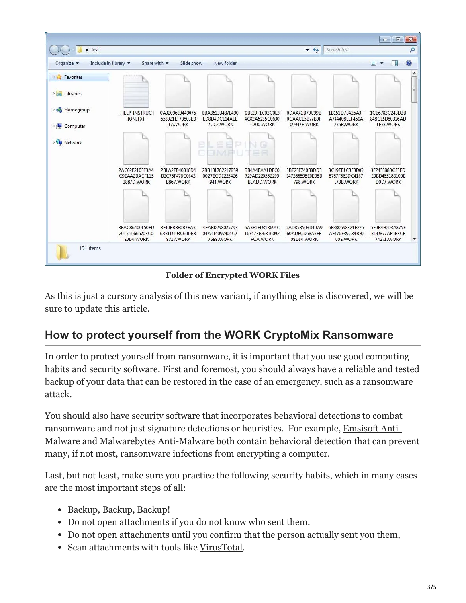

**Folder of Encrypted WORK Files**

As this is just a cursory analysis of this new variant, if anything else is discovered, we will be sure to update this article.

## **How to protect yourself from the WORK CryptoMix Ransomware**

In order to protect yourself from ransomware, it is important that you use good computing habits and security software. First and foremost, you should always have a reliable and tested backup of your data that can be restored in the case of an emergency, such as a ransomware attack.

You should also have security software that incorporates behavioral detections to combat ransomware and not just signature detections or heuristics. For example, Emsisoft Anti-[Malware and Malwarebytes Anti-Malware both contain behavioral detection that can pre](https://www.bleepingcomputer.com/download/emsisoft-anti-malware/)vent many, if not most, ransomware infections from encrypting a computer.

Last, but not least, make sure you practice the following security habits, which in many cases are the most important steps of all:

- Backup, Backup, Backup!
- Do not open attachments if you do not know who sent them.
- Do not open attachments until you confirm that the person actually sent you them,
- Scan attachments with tools like [VirusTotal.](https://www.virustotal.com/#/home/upload)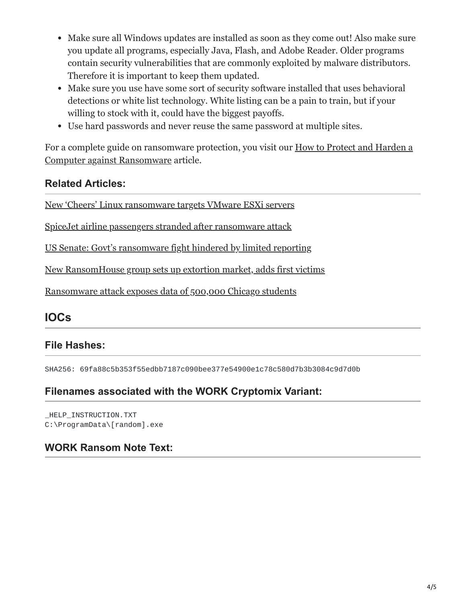- Make sure all Windows updates are installed as soon as they come out! Also make sure you update all programs, especially Java, Flash, and Adobe Reader. Older programs contain security vulnerabilities that are commonly exploited by malware distributors. Therefore it is important to keep them updated.
- Make sure you use have some sort of security software installed that uses behavioral detections or white list technology. White listing can be a pain to train, but if your willing to stock with it, could have the biggest payoffs.
- Use hard passwords and never reuse the same password at multiple sites.

[For a complete guide on ransomware protection, you visit our How to Protect and Harden a](https://www.bleepingcomputer.com/news/security/how-to-protect-and-harden-a-computer-against-ransomware/) Computer against Ransomware article.

## **Related Articles:**

[New 'Cheers' Linux ransomware targets VMware ESXi servers](https://www.bleepingcomputer.com/news/security/new-cheers-linux-ransomware-targets-vmware-esxi-servers/)

[SpiceJet airline passengers stranded after ransomware attack](https://www.bleepingcomputer.com/news/security/spicejet-airline-passengers-stranded-after-ransomware-attack/)

[US Senate: Govt's ransomware fight hindered by limited reporting](https://www.bleepingcomputer.com/news/security/us-senate-govt-s-ransomware-fight-hindered-by-limited-reporting/)

[New RansomHouse group sets up extortion market, adds first victims](https://www.bleepingcomputer.com/news/security/new-ransomhouse-group-sets-up-extortion-market-adds-first-victims/)

[Ransomware attack exposes data of 500,000 Chicago students](https://www.bleepingcomputer.com/news/security/ransomware-attack-exposes-data-of-500-000-chicago-students/)

## **IOCs**

## **File Hashes:**

SHA256: 69fa88c5b353f55edbb7187c090bee377e54900e1c78c580d7b3b3084c9d7d0b

### **Filenames associated with the WORK Cryptomix Variant:**

\_HELP\_INSTRUCTION.TXT C:\ProgramData\[random].exe

## **WORK Ransom Note Text:**